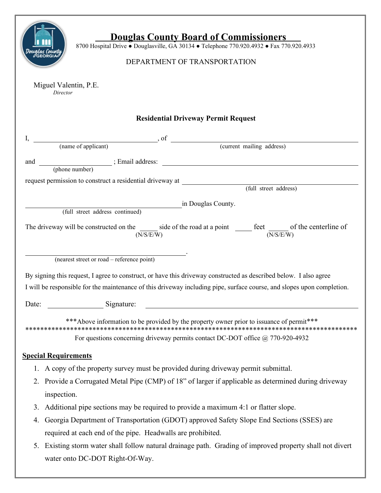| <b>Douglas County Board of Commissioners</b><br>8700 Hospital Drive . Douglasville, GA 30134 . Telephone 770.920.4932 . Fax 770.920.4933<br>DEPARTMENT OF TRANSPORTATION    |
|-----------------------------------------------------------------------------------------------------------------------------------------------------------------------------|
| Miguel Valentin, P.E.<br>Director                                                                                                                                           |
| <b>Residential Driveway Permit Request</b>                                                                                                                                  |
|                                                                                                                                                                             |
| $\int$ , of $\int$ (name of applicant) $\int$ , of $\int$ (current mailing address)                                                                                         |
| and                                                                                                                                                                         |
|                                                                                                                                                                             |
| request permission to construct a residential driveway at (full street address)                                                                                             |
|                                                                                                                                                                             |
| in Douglas County.<br>(full street address continued)                                                                                                                       |
| The driveway will be constructed on the side of the road at a point $\frac{\text{feet}}{\text{(N/S/E/W)}}$ of the centerline of                                             |
| (nearest street or road – reference point)                                                                                                                                  |
| By signing this request, I agree to construct, or have this driveway constructed as described below. I also agree                                                           |
| I will be responsible for the maintenance of this driveway including pipe, surface course, and slopes upon completion.                                                      |
|                                                                                                                                                                             |
| Signature:<br>Date:                                                                                                                                                         |
| *** Above information to be provided by the property owner prior to issuance of permit***<br>For questions concerning driveway permits contact DC-DOT office @ 770-920-4932 |
| <b>Special Requirements</b>                                                                                                                                                 |
| 1. A copy of the property survey must be provided during driveway permit submittal.                                                                                         |
| 2. Provide a Corrugated Metal Pipe (CMP) of 18" of larger if applicable as determined during driveway                                                                       |
| inspection.                                                                                                                                                                 |
| 3. Additional pipe sections may be required to provide a maximum 4:1 or flatter slope.                                                                                      |
| Georgia Department of Transportation (GDOT) approved Safety Slope End Sections (SSES) are<br>4.                                                                             |
| required at each end of the pipe. Headwalls are prohibited.                                                                                                                 |
| 5. Existing storm water shall follow natural drainage path. Grading of improved property shall not divert                                                                   |
| water onto DC-DOT Right-Of-Way.                                                                                                                                             |